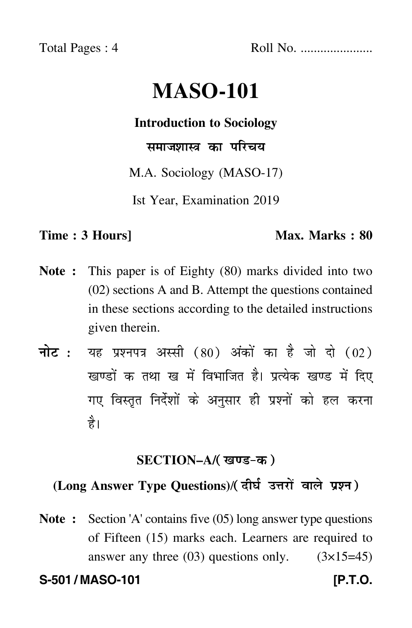Total Pages : 4 Roll No. ......................

# **MASO-101**

### **Introduction to Sociology**

समाजशास्त्र का परिचय

M.A. Sociology (MASO-17)

Ist Year, Examination 2019

#### **Time : 3 Hours]** Max. Marks : 80

- **Note :** This paper is of Eighty (80) marks divided into two (02) sections A and B. Attempt the questions contained in these sections according to the detailed instructions given therein.
- नोट : यह प्रश्नपत्र अस्सी (80) अंकों का है जो दो (02) खण्डों क तथा ख में विभाजित है। प्रत्येक खण्ड में दिए गए विस्तृत निर्देशों के अनुसार ही प्रश्नों को हल करन<mark>ा</mark> है।

### **SECTION–A/**

## **(Long Answer Type Questions)**/

**Note :** Section 'A' contains five (05) long answer type questions of Fifteen (15) marks each. Learners are required to answer any three  $(03)$  questions only.  $(3\times15=45)$ 

**S-501 / MASO-101 [P.T.O.**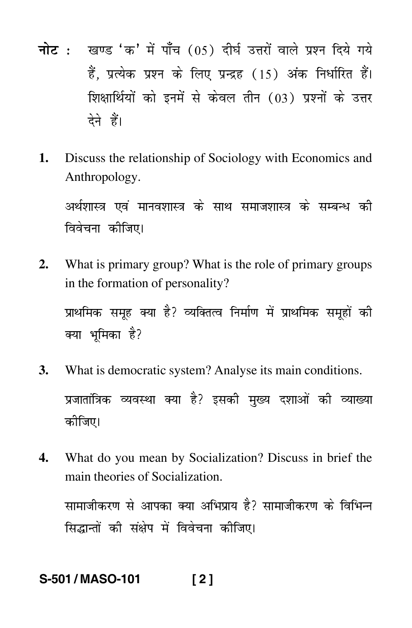- नोट : खण्ड 'क' में पाँच (05) दीर्घ उत्तरों वाले प्रश्न दिये गये हैं. प्रत्येक प्रश्न के लिए प्रन्द्रह (15) अंक निर्धारित हैं। शिक्षार्थियों को इनमें से केवल तीन (03) प्रश्नों के उत्तर देने हैं।
- $\mathbf{1}$ . Discuss the relationship of Sociology with Economics and Anthropology.

अर्थशास्त्र एवं मानवशास्त्र के साथ समाजशास्त्र के सम्बन्ध की विवेचना कीजिए।

What is primary group? What is the role of primary groups  $2.$ in the formation of personality?

प्राथमिक समूह क्या है? व्यक्तित्व निर्माण में प्राथमिक समूहों की क्या भमिका है?

- 3. What is democratic system? Analyse its main conditions. प्रजातांत्रिक व्यवस्था क्या है? इसकी मुख्य दशाओं की व्याख्या कीजिए।
- What do you mean by Socialization? Discuss in brief the 4. main theories of Socialization.

सामाजीकरण से आपका क्या अभिप्राय है? सामाजीकरण के विभिन्न सिद्धान्तों की संक्षेप में विवेचना कीजिए।

#### S-501/MASO-101  $[2]$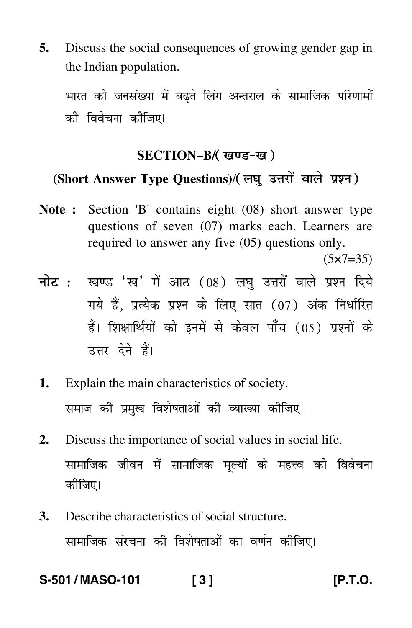**5.** Discuss the social consequences of growing gender gap in the Indian population.

भारत की जनसंख्या में बढते लिंग अन्तराल के सामाजिक परिणामों की विवेचना कीजिए।

#### **SECTION–B/**

### (Short Answer Type Questions)/( लघु उत्तरों वाले प्रश्न )

**Note :** Section 'B' contains eight (08) short answer type questions of seven (07) marks each. Learners are required to answer any five (05) questions only.

 $(5 \times 7 = 35)$ 

- <mark>नोट</mark> : खण्ड 'ख' में आठ (08) लघु उत्तरों वाले प्रश्न दिये गये हैं, प्रत्येक प्रश्न के लिए सात (07) अंक निर्धारित हैं। शिक्षार्थियों को इनमें से केवल पाँच (05) प्रश्नों के उत्तर देने हैं।
- **1.** Explain the main characteristics of society. समाज की प्रमुख विशेषताओं की व्याख्या कीजिए।
- **2.** Discuss the importance of social values in social life. सामाजिक जीवन में सामाजिक मूल्यों के महत्त्व की विवेचना कीजिए।
- **3.** Describe characteristics of social structure. सामाजिक संरचना की विशेषताओं का वर्णन कीजिए।

**S-501 / MASO-101 [ 3 ] [P.T.O.**